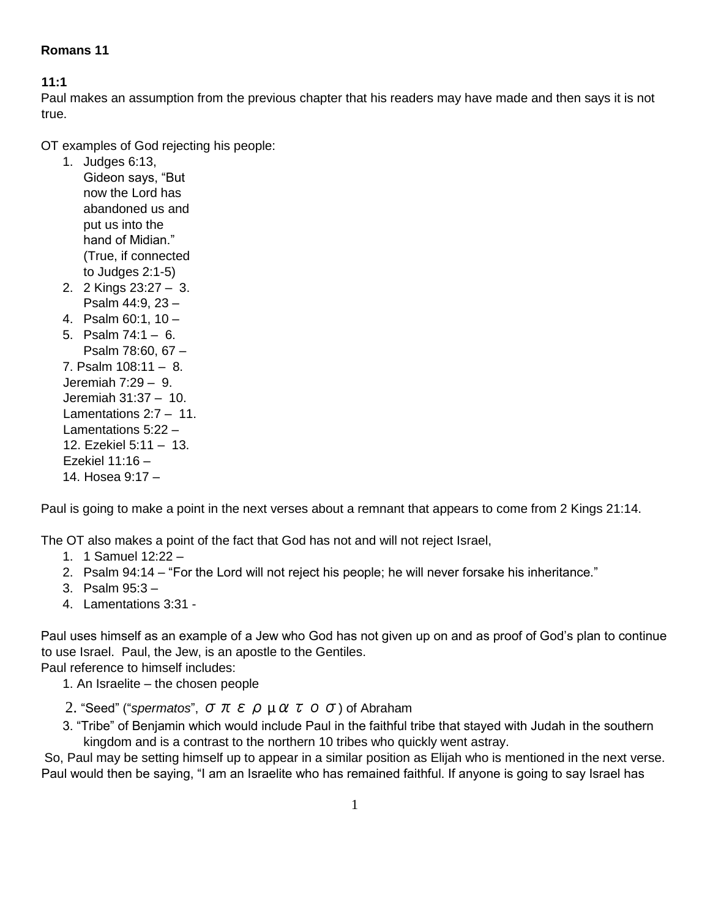### **Romans 11**

### **11:1**

Paul makes an assumption from the previous chapter that his readers may have made and then says it is not true.

OT examples of God rejecting his people:

- 1. Judges 6:13, Gideon says, "But now the Lord has abandoned us and put us into the hand of Midian." (True, if connected to Judges 2:1-5)
- 2. 2 Kings 23:27 3. Psalm 44:9, 23 –
- 4. Psalm 60:1, 10 –
- 5. Psalm 74:1 6. Psalm 78:60, 67 – 7. Psalm 108:11 – 8. Jeremiah 7:29 – 9. Jeremiah 31:37 – 10. Lamentations 2:7 – 11. Lamentations 5:22 – 12. Ezekiel 5:11 – 13. Ezekiel 11:16 – 14. Hosea 9:17 –

Paul is going to make a point in the next verses about a remnant that appears to come from 2 Kings 21:14.

The OT also makes a point of the fact that God has not and will not reject Israel,

- 1. 1 Samuel 12:22 –
- 2. Psalm 94:14 "For the Lord will not reject his people; he will never forsake his inheritance."
- 3. Psalm 95:3 –
- 4. Lamentations 3:31 -

Paul uses himself as an example of a Jew who God has not given up on and as proof of God's plan to continue to use Israel. Paul, the Jew, is an apostle to the Gentiles.

Paul reference to himself includes:

- 1. An Israelite the chosen people
- 2. "Seed" ("*spermatos*", σπερµατοσ) of Abraham
- 3. "Tribe" of Benjamin which would include Paul in the faithful tribe that stayed with Judah in the southern kingdom and is a contrast to the northern 10 tribes who quickly went astray.

So, Paul may be setting himself up to appear in a similar position as Elijah who is mentioned in the next verse. Paul would then be saying, "I am an Israelite who has remained faithful. If anyone is going to say Israel has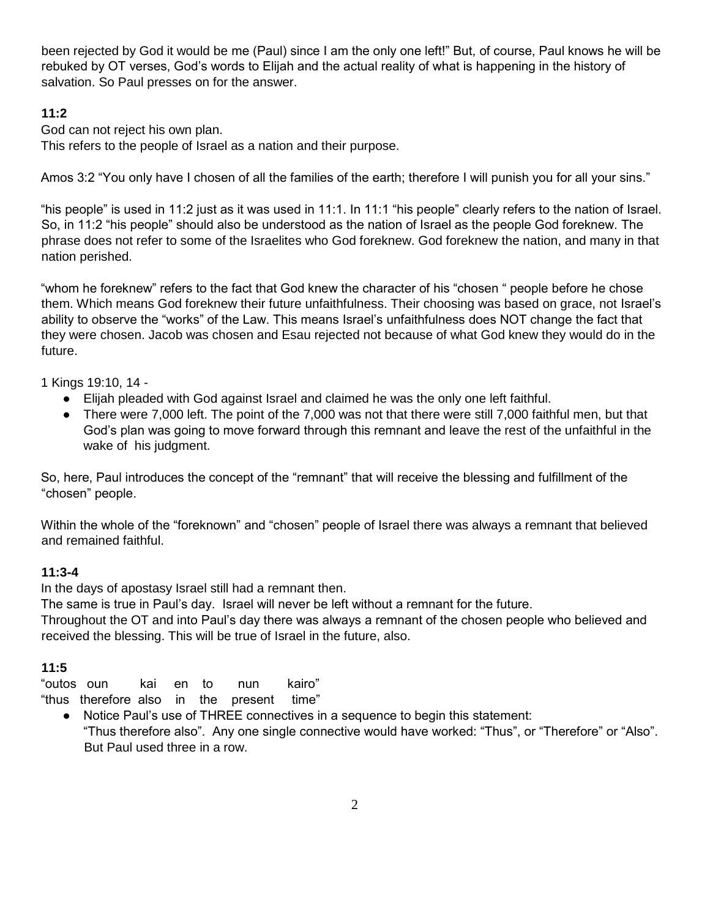been rejected by God it would be me (Paul) since I am the only one left!" But, of course, Paul knows he will be rebuked by OT verses, God's words to Elijah and the actual reality of what is happening in the history of salvation. So Paul presses on for the answer.

### **11:2**

God can not reject his own plan.

This refers to the people of Israel as a nation and their purpose.

Amos 3:2 "You only have I chosen of all the families of the earth; therefore I will punish you for all your sins."

"his people" is used in 11:2 just as it was used in 11:1. In 11:1 "his people" clearly refers to the nation of Israel. So, in 11:2 "his people" should also be understood as the nation of Israel as the people God foreknew. The phrase does not refer to some of the Israelites who God foreknew. God foreknew the nation, and many in that nation perished.

"whom he foreknew" refers to the fact that God knew the character of his "chosen " people before he chose them. Which means God foreknew their future unfaithfulness. Their choosing was based on grace, not Israel's ability to observe the "works" of the Law. This means Israel's unfaithfulness does NOT change the fact that they were chosen. Jacob was chosen and Esau rejected not because of what God knew they would do in the future.

1 Kings 19:10, 14 -

- Elijah pleaded with God against Israel and claimed he was the only one left faithful.
- There were 7,000 left. The point of the 7,000 was not that there were still 7,000 faithful men, but that God's plan was going to move forward through this remnant and leave the rest of the unfaithful in the wake of his judgment.

So, here, Paul introduces the concept of the "remnant" that will receive the blessing and fulfillment of the "chosen" people.

Within the whole of the "foreknown" and "chosen" people of Israel there was always a remnant that believed and remained faithful.

### **11:3-4**

In the days of apostasy Israel still had a remnant then.

The same is true in Paul's day. Israel will never be left without a remnant for the future.

Throughout the OT and into Paul's day there was always a remnant of the chosen people who believed and received the blessing. This will be true of Israel in the future, also.

### **11:5**

"outos oun kai en to nun kairo"

"thus therefore also in the present time"

● Notice Paul's use of THREE connectives in a sequence to begin this statement: "Thus therefore also". Any one single connective would have worked: "Thus", or "Therefore" or "Also". But Paul used three in a row.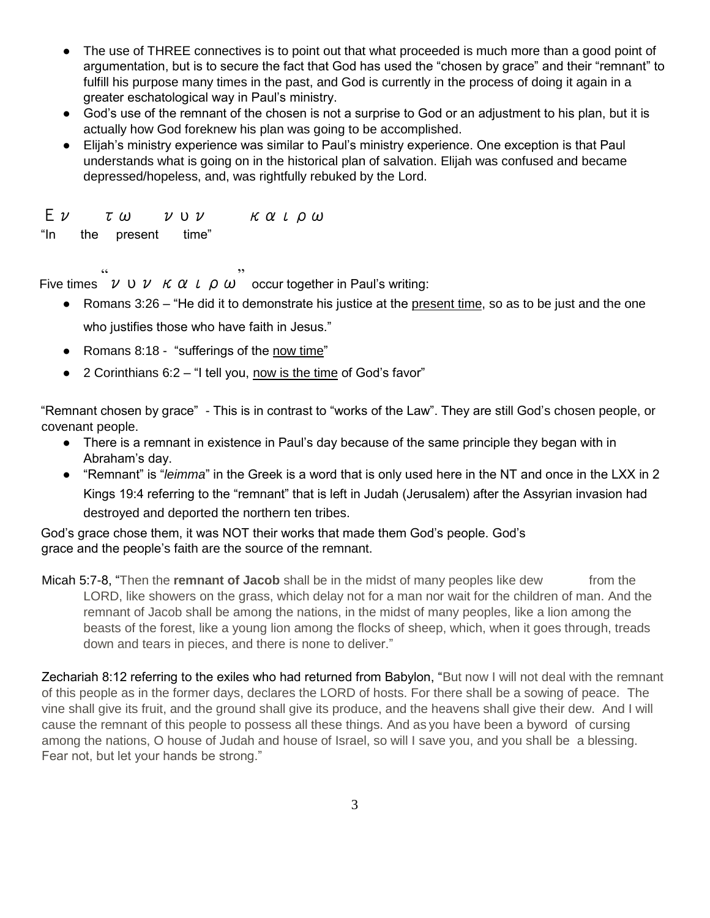- The use of THREE connectives is to point out that what proceeded is much more than a good point of argumentation, but is to secure the fact that God has used the "chosen by grace" and their "remnant" to fulfill his purpose many times in the past, and God is currently in the process of doing it again in a greater eschatological way in Paul's ministry.
- God's use of the remnant of the chosen is not a surprise to God or an adjustment to his plan, but it is actually how God foreknew his plan was going to be accomplished.
- Elijah's ministry experience was similar to Paul's ministry experience. One exception is that Paul understands what is going on in the historical plan of salvation. Elijah was confused and became depressed/hopeless, and, was rightfully rebuked by the Lord.

| $E$ $\nu$ | τω                    | $\nu \cup \nu$ |  |  | καιρω |  |
|-----------|-----------------------|----------------|--|--|-------|--|
|           | "In the present time" |                |  |  |       |  |

Five times  $v v \nu \kappa \alpha \nu \rho \omega$  occur together in Paul's writing:

- $\bullet$  Romans 3:26 "He did it to demonstrate his justice at the present time, so as to be just and the one who justifies those who have faith in Jesus."
- Romans 8:18 "sufferings of the now time"
- 2 Corinthians 6:2 "I tell you, now is the time of God's favor"

"Remnant chosen by grace" - This is in contrast to "works of the Law". They are still God's chosen people, or covenant people.

- There is a remnant in existence in Paul's day because of the same principle they began with in Abraham's day.
- "Remnant" is "*leimma*" in the Greek is a word that is only used here in the NT and once in the LXX in 2 Kings 19:4 referring to the "remnant" that is left in Judah (Jerusalem) after the Assyrian invasion had destroyed and deported the northern ten tribes.

God's grace chose them, it was NOT their works that made them God's people. God's grace and the people's faith are the source of the remnant.

Micah 5:7-8, "Then the **remnant of Jacob** shall be in the midst of many peoples like dew from the LORD, like showers on the grass, which delay not for a man nor wait for the children of man. And the remnant of Jacob shall be among the nations, in the midst of many peoples, like a lion among the beasts of the forest, like a young lion among the flocks of sheep, which, when it goes through, treads down and tears in pieces, and there is none to deliver."

Zechariah 8:12 referring to the exiles who had returned from Babylon, "But now I will not deal with the remnant of this people as in the former days, declares the LORD of hosts. For there shall be a sowing of peace. The vine shall give its fruit, and the ground shall give its produce, and the heavens shall give their dew. And I will cause the remnant of this people to possess all these things. And as you have been a byword of cursing among the nations, O house of Judah and house of Israel, so will I save you, and you shall be a blessing. Fear not, but let your hands be strong."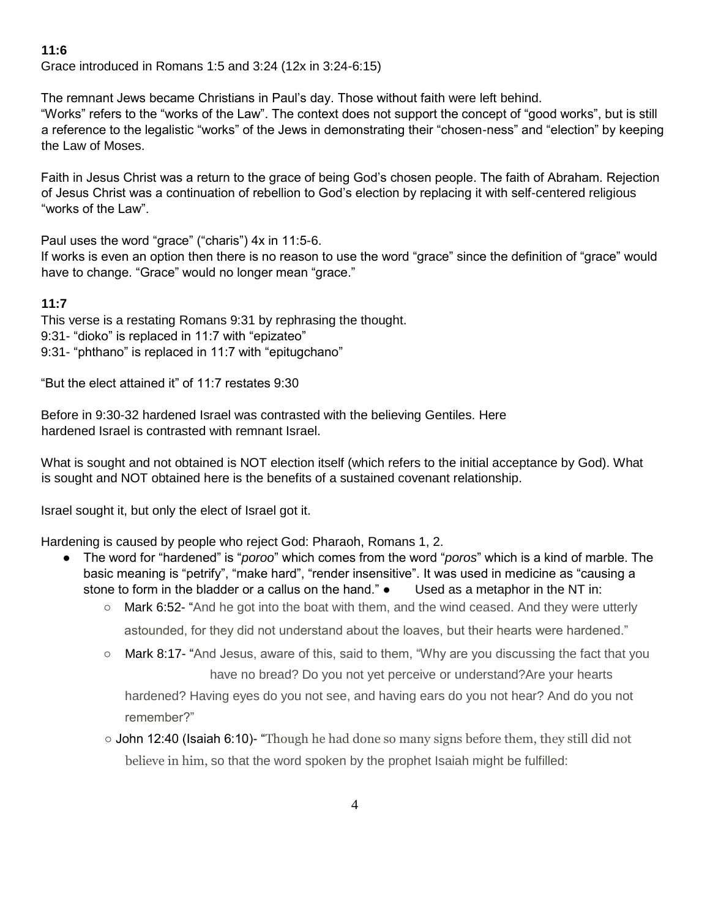Grace introduced in Romans 1:5 and 3:24 (12x in 3:24-6:15)

The remnant Jews became Christians in Paul's day. Those without faith were left behind.

"Works" refers to the "works of the Law". The context does not support the concept of "good works", but is still a reference to the legalistic "works" of the Jews in demonstrating their "chosen-ness" and "election" by keeping the Law of Moses.

Faith in Jesus Christ was a return to the grace of being God's chosen people. The faith of Abraham. Rejection of Jesus Christ was a continuation of rebellion to God's election by replacing it with self-centered religious "works of the Law".

Paul uses the word "grace" ("charis") 4x in 11:5-6.

If works is even an option then there is no reason to use the word "grace" since the definition of "grace" would have to change. "Grace" would no longer mean "grace."

### **11:7**

This verse is a restating Romans 9:31 by rephrasing the thought. 9:31- "dioko" is replaced in 11:7 with "epizateo" 9:31- "phthano" is replaced in 11:7 with "epitugchano"

"But the elect attained it" of 11:7 restates 9:30

Before in 9:30-32 hardened Israel was contrasted with the believing Gentiles. Here hardened Israel is contrasted with remnant Israel.

What is sought and not obtained is NOT election itself (which refers to the initial acceptance by God). What is sought and NOT obtained here is the benefits of a sustained covenant relationship.

Israel sought it, but only the elect of Israel got it.

Hardening is caused by people who reject God: Pharaoh, Romans 1, 2.

- The word for "hardened" is "*poroo*" which comes from the word "*poros*" which is a kind of marble. The basic meaning is "petrify", "make hard", "render insensitive". It was used in medicine as "causing a stone to form in the bladder or a callus on the hand." • Used as a metaphor in the NT in:
	- $\circ$  Mark 6:52- "And he got into the boat with them, and the wind ceased. And they were utterly astounded, for they did not understand about the loaves, but their hearts were hardened."
	- $\circ$  Mark 8:17- "And Jesus, aware of this, said to them, "Why are you discussing the fact that you have no bread? Do you not yet perceive or understand?Are your hearts

hardened? Having eyes do you not see, and having ears do you not hear? And do you not remember?"

○ John 12:40 (Isaiah 6:10)- "Though he had done so many signs before them, they still did not believe in him, so that the word spoken by the prophet Isaiah might be fulfilled: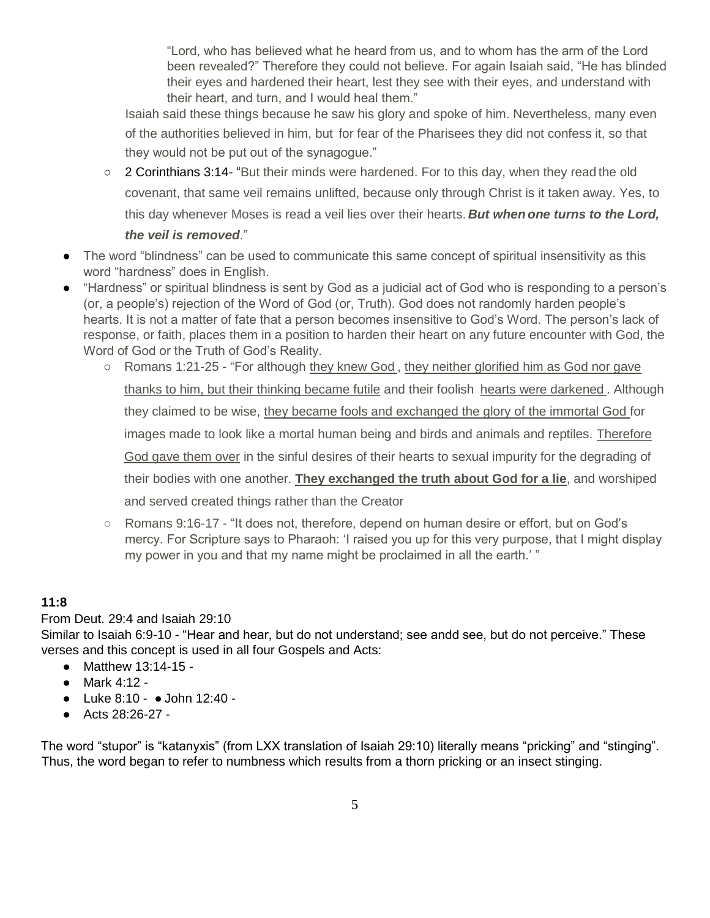"Lord, who has believed what he heard from us, and to whom has the arm of the Lord been revealed?" Therefore they could not believe. For again Isaiah said, "He has blinded their eyes and hardened their heart, lest they see with their eyes, and understand with their heart, and turn, and I would heal them."

Isaiah said these things because he saw his glory and spoke of him. Nevertheless, many even of the authorities believed in him, but for fear of the Pharisees they did not confess it, so that they would not be put out of the synagogue."

- 2 Corinthians 3:14- "But their minds were hardened. For to this day, when they read the old covenant, that same veil remains unlifted, because only through Christ is it taken away. Yes, to this day whenever Moses is read a veil lies over their hearts. *But when one turns to the Lord, the veil is removed*."
- The word "blindness" can be used to communicate this same concept of spiritual insensitivity as this word "hardness" does in English.
- "Hardness" or spiritual blindness is sent by God as a judicial act of God who is responding to a person's (or, a people's) rejection of the Word of God (or, Truth). God does not randomly harden people's hearts. It is not a matter of fate that a person becomes insensitive to God's Word. The person's lack of response, or faith, places them in a position to harden their heart on any future encounter with God, the Word of God or the Truth of God's Reality.
	- Romans 1:21-25 "For although they knew God, they neither glorified him as God nor gave thanks to him, but their thinking became futile and their foolish hearts were darkened . Although they claimed to be wise, they became fools and exchanged the glory of the immortal God for images made to look like a mortal human being and birds and animals and reptiles. Therefore God gave them over in the sinful desires of their hearts to sexual impurity for the degrading of their bodies with one another. **They exchanged the truth about God for a lie**, and worshiped and served created things rather than the Creator
	- Romans 9:16-17 "It does not, therefore, depend on human desire or effort, but on God's mercy. For Scripture says to Pharaoh: 'I raised you up for this very purpose, that I might display my power in you and that my name might be proclaimed in all the earth.' "

# **11:8**

### From Deut. 29:4 and Isaiah 29:10

Similar to Isaiah 6:9-10 - "Hear and hear, but do not understand; see andd see, but do not perceive." These verses and this concept is used in all four Gospels and Acts:

- Matthew 13:14-15 -
- Mark 4:12 -
- Luke 8:10 ● John 12:40 -
- Acts 28:26-27 -

The word "stupor" is "katanyxis" (from LXX translation of Isaiah 29:10) literally means "pricking" and "stinging". Thus, the word began to refer to numbness which results from a thorn pricking or an insect stinging.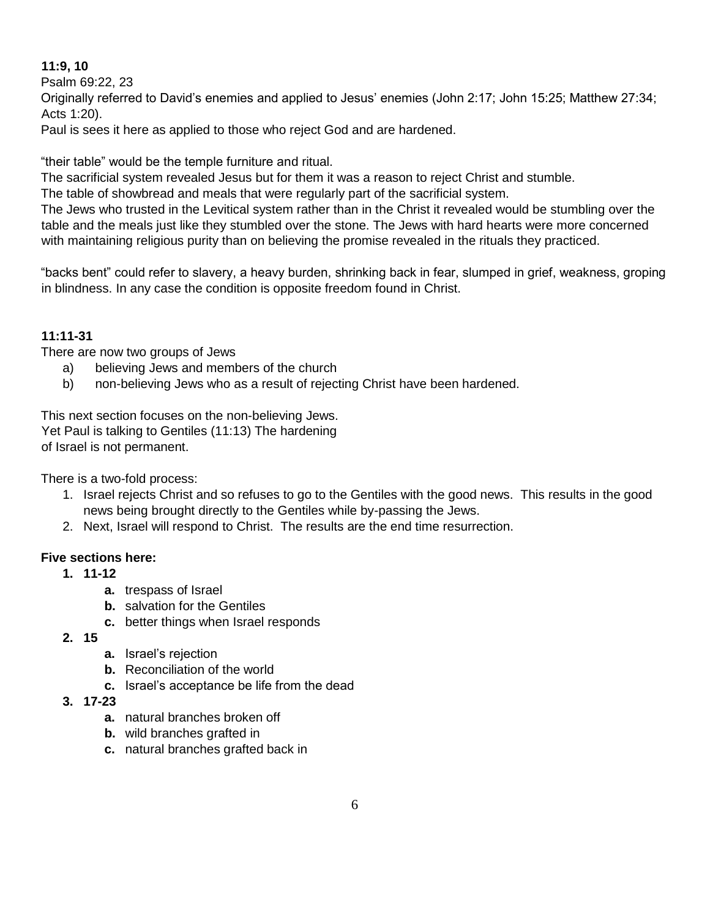### **11:9, 10**

Psalm 69:22, 23

Originally referred to David's enemies and applied to Jesus' enemies (John 2:17; John 15:25; Matthew 27:34; Acts 1:20).

Paul is sees it here as applied to those who reject God and are hardened.

"their table" would be the temple furniture and ritual.

The sacrificial system revealed Jesus but for them it was a reason to reject Christ and stumble.

The table of showbread and meals that were regularly part of the sacrificial system.

The Jews who trusted in the Levitical system rather than in the Christ it revealed would be stumbling over the table and the meals just like they stumbled over the stone. The Jews with hard hearts were more concerned with maintaining religious purity than on believing the promise revealed in the rituals they practiced.

"backs bent" could refer to slavery, a heavy burden, shrinking back in fear, slumped in grief, weakness, groping in blindness. In any case the condition is opposite freedom found in Christ.

# **11:11-31**

There are now two groups of Jews

- a) believing Jews and members of the church
- b) non-believing Jews who as a result of rejecting Christ have been hardened.

This next section focuses on the non-believing Jews. Yet Paul is talking to Gentiles (11:13) The hardening of Israel is not permanent.

There is a two-fold process:

- 1. Israel rejects Christ and so refuses to go to the Gentiles with the good news. This results in the good news being brought directly to the Gentiles while by-passing the Jews.
- 2. Next, Israel will respond to Christ. The results are the end time resurrection.

### **Five sections here:**

- **1. 11-12**
	- **a.** trespass of Israel
	- **b.** salvation for the Gentiles
	- **c.** better things when Israel responds
- **2. 15**
- **a.** Israel's rejection
- **b.** Reconciliation of the world
- **c.** Israel's acceptance be life from the dead
- **3. 17-23** 
	- **a.** natural branches broken off
	- **b.** wild branches grafted in
	- **c.** natural branches grafted back in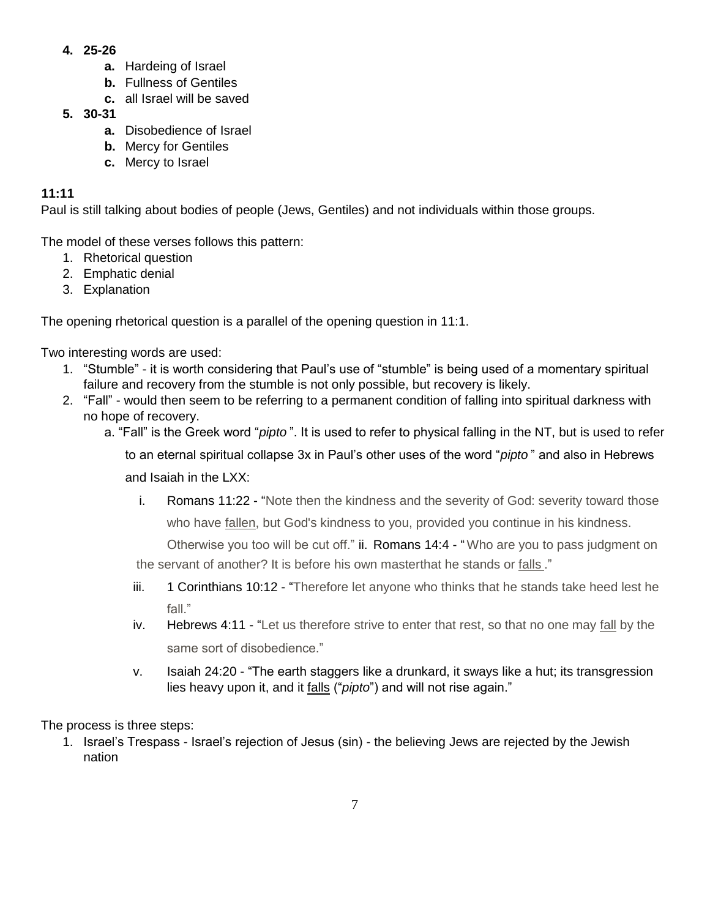- **4. 25-26** 
	- **a.** Hardeing of Israel
	- **b.** Fullness of Gentiles
	- **c.** all Israel will be saved
- **5. 30-31** 
	- **a.** Disobedience of Israel
	- **b.** Mercy for Gentiles
	- **c.** Mercy to Israel

Paul is still talking about bodies of people (Jews, Gentiles) and not individuals within those groups.

The model of these verses follows this pattern:

- 1. Rhetorical question
- 2. Emphatic denial
- 3. Explanation

The opening rhetorical question is a parallel of the opening question in 11:1.

Two interesting words are used:

- 1. "Stumble" it is worth considering that Paul's use of "stumble" is being used of a momentary spiritual failure and recovery from the stumble is not only possible, but recovery is likely.
- 2. "Fall" would then seem to be referring to a permanent condition of falling into spiritual darkness with no hope of recovery.
	- a. "Fall" is the Greek word "*pipto* ". It is used to refer to physical falling in the NT, but is used to refer

to an eternal spiritual collapse 3x in Paul's other uses of the word "*pipto* " and also in Hebrews

and Isaiah in the LXX:

i. Romans 11:22 - "Note then the kindness and the severity of God: severity toward those who have fallen, but God's kindness to you, provided you continue in his kindness.

Otherwise you too will be cut off." ii. Romans 14:4 - "Who are you to pass judgment on the servant of another? It is before his own masterthat he stands or falls ."

- iii. 1 Corinthians 10:12 "Therefore let anyone who thinks that he stands take heed lest he fall<sup>"</sup>
- iv. Hebrews 4:11 "Let us therefore strive to enter that rest, so that no one may fall by the same sort of disobedience."
- v. Isaiah 24:20 "The earth staggers like a drunkard, it sways like a hut; its transgression lies heavy upon it, and it falls ("pipto") and will not rise again."

The process is three steps:

1. Israel's Trespass - Israel's rejection of Jesus (sin) - the believing Jews are rejected by the Jewish nation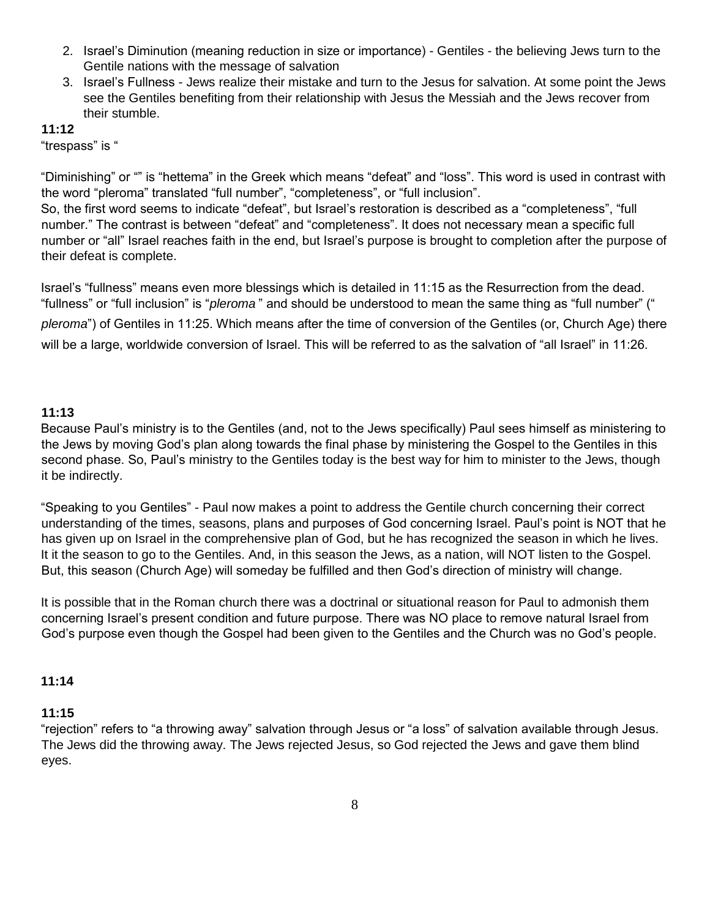- 2. Israel's Diminution (meaning reduction in size or importance) Gentiles the believing Jews turn to the Gentile nations with the message of salvation
- 3. Israel's Fullness Jews realize their mistake and turn to the Jesus for salvation. At some point the Jews see the Gentiles benefiting from their relationship with Jesus the Messiah and the Jews recover from their stumble.

"trespass" is "

"Diminishing" or "" is "hettema" in the Greek which means "defeat" and "loss". This word is used in contrast with the word "pleroma" translated "full number", "completeness", or "full inclusion".

So, the first word seems to indicate "defeat", but Israel's restoration is described as a "completeness", "full number." The contrast is between "defeat" and "completeness". It does not necessary mean a specific full number or "all" Israel reaches faith in the end, but Israel's purpose is brought to completion after the purpose of their defeat is complete.

Israel's "fullness" means even more blessings which is detailed in 11:15 as the Resurrection from the dead. "fullness" or "full inclusion" is "*pleroma* " and should be understood to mean the same thing as "full number" (" *pleroma*") of Gentiles in 11:25. Which means after the time of conversion of the Gentiles (or, Church Age) there will be a large, worldwide conversion of Israel. This will be referred to as the salvation of "all Israel" in 11:26.

#### **11:13**

Because Paul's ministry is to the Gentiles (and, not to the Jews specifically) Paul sees himself as ministering to the Jews by moving God's plan along towards the final phase by ministering the Gospel to the Gentiles in this second phase. So, Paul's ministry to the Gentiles today is the best way for him to minister to the Jews, though it be indirectly.

"Speaking to you Gentiles" - Paul now makes a point to address the Gentile church concerning their correct understanding of the times, seasons, plans and purposes of God concerning Israel. Paul's point is NOT that he has given up on Israel in the comprehensive plan of God, but he has recognized the season in which he lives. It it the season to go to the Gentiles. And, in this season the Jews, as a nation, will NOT listen to the Gospel. But, this season (Church Age) will someday be fulfilled and then God's direction of ministry will change.

It is possible that in the Roman church there was a doctrinal or situational reason for Paul to admonish them concerning Israel's present condition and future purpose. There was NO place to remove natural Israel from God's purpose even though the Gospel had been given to the Gentiles and the Church was no God's people.

#### **11:14**

#### **11:15**

"rejection" refers to "a throwing away" salvation through Jesus or "a loss" of salvation available through Jesus. The Jews did the throwing away. The Jews rejected Jesus, so God rejected the Jews and gave them blind eyes.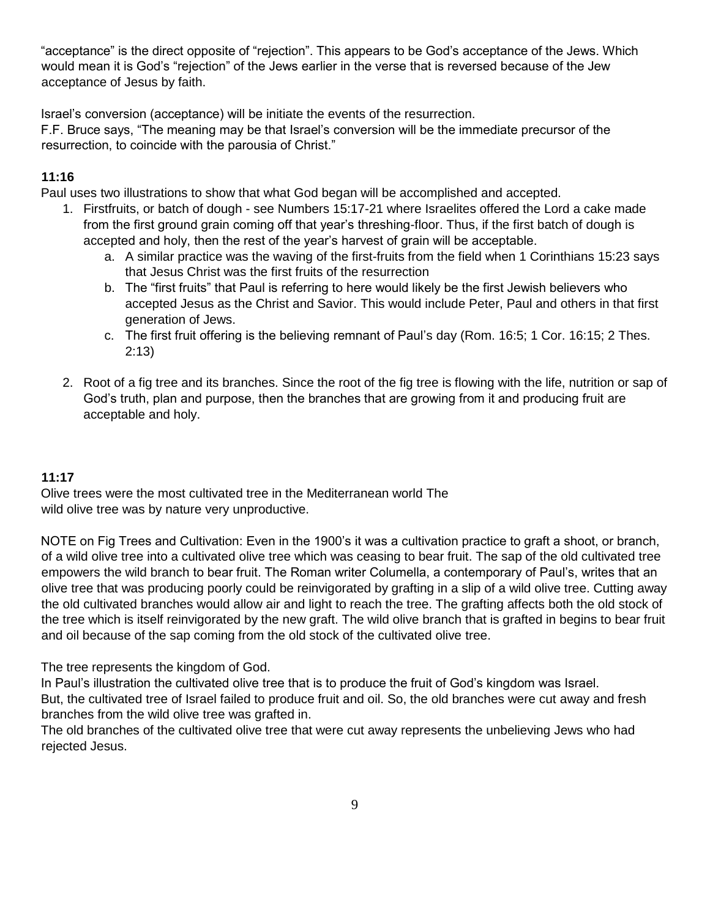"acceptance" is the direct opposite of "rejection". This appears to be God's acceptance of the Jews. Which would mean it is God's "rejection" of the Jews earlier in the verse that is reversed because of the Jew acceptance of Jesus by faith.

Israel's conversion (acceptance) will be initiate the events of the resurrection.

F.F. Bruce says, "The meaning may be that Israel's conversion will be the immediate precursor of the resurrection, to coincide with the parousia of Christ."

### **11:16**

Paul uses two illustrations to show that what God began will be accomplished and accepted.

- 1. Firstfruits, or batch of dough see Numbers 15:17-21 where Israelites offered the Lord a cake made from the first ground grain coming off that year's threshing-floor. Thus, if the first batch of dough is accepted and holy, then the rest of the year's harvest of grain will be acceptable.
	- a. A similar practice was the waving of the first-fruits from the field when 1 Corinthians 15:23 says that Jesus Christ was the first fruits of the resurrection
	- b. The "first fruits" that Paul is referring to here would likely be the first Jewish believers who accepted Jesus as the Christ and Savior. This would include Peter, Paul and others in that first generation of Jews.
	- c. The first fruit offering is the believing remnant of Paul's day (Rom. 16:5; 1 Cor. 16:15; 2 Thes. 2:13)
- 2. Root of a fig tree and its branches. Since the root of the fig tree is flowing with the life, nutrition or sap of God's truth, plan and purpose, then the branches that are growing from it and producing fruit are acceptable and holy.

# **11:17**

Olive trees were the most cultivated tree in the Mediterranean world The wild olive tree was by nature very unproductive.

NOTE on Fig Trees and Cultivation: Even in the 1900's it was a cultivation practice to graft a shoot, or branch, of a wild olive tree into a cultivated olive tree which was ceasing to bear fruit. The sap of the old cultivated tree empowers the wild branch to bear fruit. The Roman writer Columella, a contemporary of Paul's, writes that an olive tree that was producing poorly could be reinvigorated by grafting in a slip of a wild olive tree. Cutting away the old cultivated branches would allow air and light to reach the tree. The grafting affects both the old stock of the tree which is itself reinvigorated by the new graft. The wild olive branch that is grafted in begins to bear fruit and oil because of the sap coming from the old stock of the cultivated olive tree.

The tree represents the kingdom of God.

In Paul's illustration the cultivated olive tree that is to produce the fruit of God's kingdom was Israel. But, the cultivated tree of Israel failed to produce fruit and oil. So, the old branches were cut away and fresh branches from the wild olive tree was grafted in.

The old branches of the cultivated olive tree that were cut away represents the unbelieving Jews who had rejected Jesus.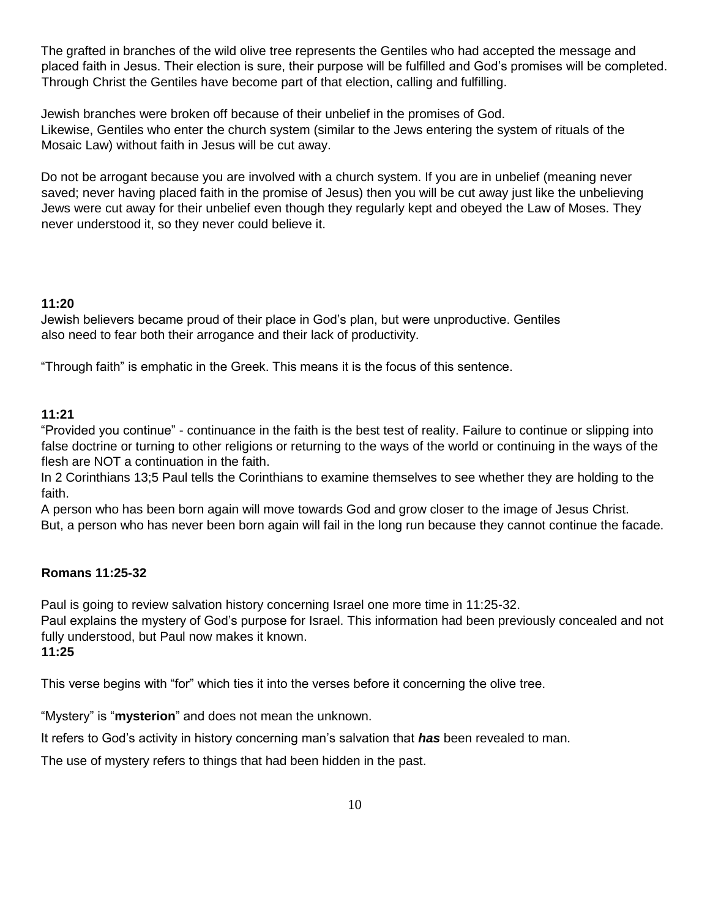The grafted in branches of the wild olive tree represents the Gentiles who had accepted the message and placed faith in Jesus. Their election is sure, their purpose will be fulfilled and God's promises will be completed. Through Christ the Gentiles have become part of that election, calling and fulfilling.

Jewish branches were broken off because of their unbelief in the promises of God. Likewise, Gentiles who enter the church system (similar to the Jews entering the system of rituals of the Mosaic Law) without faith in Jesus will be cut away.

Do not be arrogant because you are involved with a church system. If you are in unbelief (meaning never saved; never having placed faith in the promise of Jesus) then you will be cut away just like the unbelieving Jews were cut away for their unbelief even though they regularly kept and obeyed the Law of Moses. They never understood it, so they never could believe it.

### **11:20**

Jewish believers became proud of their place in God's plan, but were unproductive. Gentiles also need to fear both their arrogance and their lack of productivity.

"Through faith" is emphatic in the Greek. This means it is the focus of this sentence.

### **11:21**

"Provided you continue" - continuance in the faith is the best test of reality. Failure to continue or slipping into false doctrine or turning to other religions or returning to the ways of the world or continuing in the ways of the flesh are NOT a continuation in the faith.

In 2 Corinthians 13;5 Paul tells the Corinthians to examine themselves to see whether they are holding to the faith.

A person who has been born again will move towards God and grow closer to the image of Jesus Christ. But, a person who has never been born again will fail in the long run because they cannot continue the facade.

### **Romans 11:25-32**

Paul is going to review salvation history concerning Israel one more time in 11:25-32.

Paul explains the mystery of God's purpose for Israel. This information had been previously concealed and not fully understood, but Paul now makes it known.

### **11:25**

This verse begins with "for" which ties it into the verses before it concerning the olive tree.

"Mystery" is "**mysterion**" and does not mean the unknown.

It refers to God's activity in history concerning man's salvation that *has* been revealed to man.

The use of mystery refers to things that had been hidden in the past.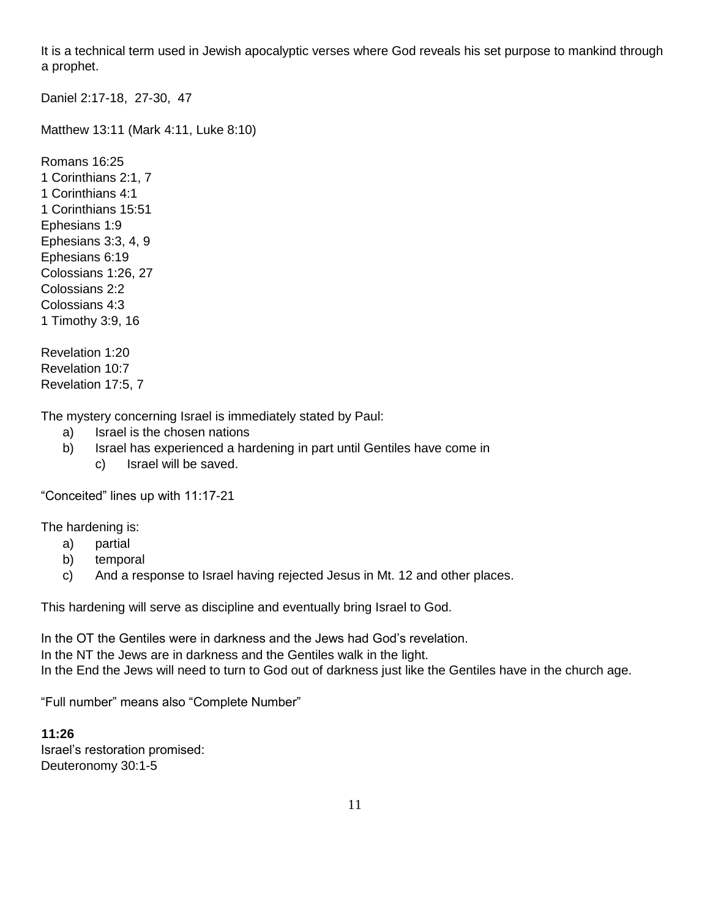It is a technical term used in Jewish apocalyptic verses where God reveals his set purpose to mankind through a prophet.

Daniel 2:17-18, 27-30, 47

Matthew 13:11 (Mark 4:11, Luke 8:10)

Romans 16:25 1 Corinthians 2:1, 7 1 Corinthians 4:1 1 Corinthians 15:51 Ephesians 1:9 Ephesians 3:3, 4, 9 Ephesians 6:19 Colossians 1:26, 27 Colossians 2:2 Colossians 4:3 1 Timothy 3:9, 16

Revelation 1:20 Revelation 10:7 Revelation 17:5, 7

The mystery concerning Israel is immediately stated by Paul:

- a) Israel is the chosen nations
- b) Israel has experienced a hardening in part until Gentiles have come in
	- c) Israel will be saved.

"Conceited" lines up with 11:17-21

The hardening is:

- a) partial
- b) temporal
- c) And a response to Israel having rejected Jesus in Mt. 12 and other places.

This hardening will serve as discipline and eventually bring Israel to God.

In the OT the Gentiles were in darkness and the Jews had God's revelation. In the NT the Jews are in darkness and the Gentiles walk in the light. In the End the Jews will need to turn to God out of darkness just like the Gentiles have in the church age.

"Full number" means also "Complete Number"

# **11:26** Israel's restoration promised:

Deuteronomy 30:1-5